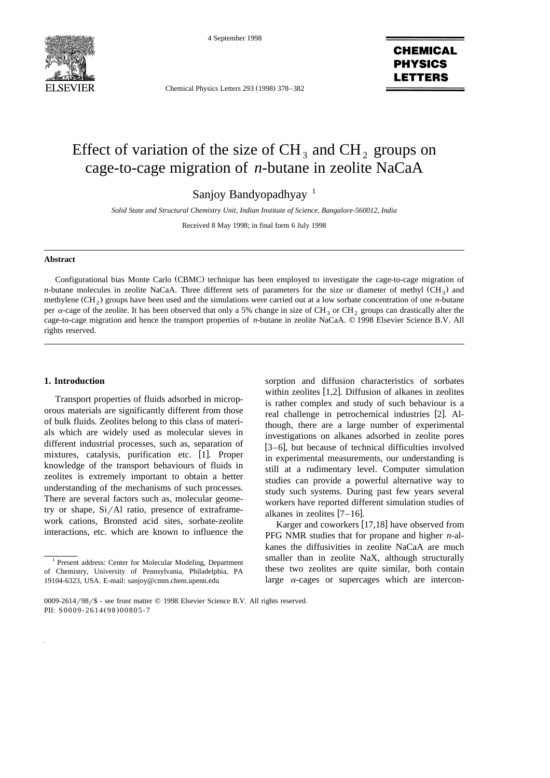

4 September 1998

Chemical Physics Letters 293 (1998) 378-382

**CHEMICAL PHYSICS LETTERS** 

# Effect of variation of the size of  $CH<sub>3</sub>$  and  $CH<sub>2</sub>$  groups on cage-to-cage migration of *n*-butane in zeolite NaCaA

Sanjoy Bandyopadhyay<sup>1</sup>

*Solid State and Structural Chemistry Unit, Indian Institute of Science, Bangalore-560012, India*

Received 8 May 1998; in final form 6 July 1998

# **Abstract**

Configurational bias Monte Carlo (CBMC) technique has been employed to investigate the cage-to-cage migration of *n*-butane molecules in zeolite NaCaA. Three different sets of parameters for the size or diameter of methyl  $(CH_3)$  and methylene  $(CH<sub>2</sub>)$  groups have been used and the simulations were carried out at a low sorbate concentration of one *n*-butane per  $\alpha$ -cage of the zeolite. It has been observed that only a 5% change in size of CH<sub>3</sub> or CH<sub>2</sub> groups can drastically alter the cage-to-cage migration and hence the transport properties of *n*-butane in zeolite NaCaA. © 1998 Elsevier Science B.V. All rights reserved.

# **1. Introduction**

Transport properties of fluids adsorbed in microporous materials are significantly different from those of bulk fluids. Zeolites belong to this class of materials which are widely used as molecular sieves in different industrial processes, such as, separation of mixtures, catalysis, purification etc. [1]. Proper knowledge of the transport behaviours of fluids in zeolites is extremely important to obtain a better understanding of the mechanisms of such processes. There are several factors such as, molecular geometry or shape,  $Si/Al$  ratio, presence of extraframework cations, Bronsted acid sites, sorbate-zeolite interactions, etc. which are known to influence the

sorption and diffusion characteristics of sorbates within zeolites  $[1,2]$ . Diffusion of alkanes in zeolites is rather complex and study of such behaviour is a real challenge in petrochemical industries [2]. Although, there are a large number of experimental investigations on alkanes adsorbed in zeolite pores  $[3-6]$ , but because of technical difficulties involved in experimental measurements, our understanding is still at a rudimentary level. Computer simulation studies can provide a powerful alternative way to study such systems. During past few years several workers have reported different simulation studies of alkanes in zeolites  $[7-16]$ .

Karger and coworkers  $[17,18]$  have observed from PFG NMR studies that for propane and higher *n*-alkanes the diffusivities in zeolite NaCaA are much smaller than in zeolite NaX, although structurally these two zeolites are quite similar, both contain large  $\alpha$ -cages or supercages which are intercon-

<sup>&</sup>lt;sup>1</sup> Present address: Center for Molecular Modeling, Department of Chemistry, University of Pennsylvania, Philadelphia, PA 19104-6323, USA. E-mail: sanjoy@cmm.chem.upenn.edu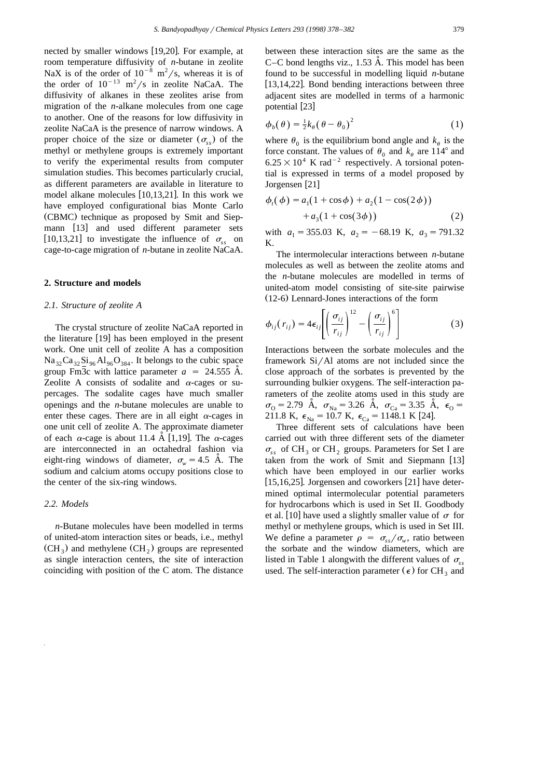nected by smaller windows  $[19,20]$ . For example, at room temperature diffusivity of *n*-butane in zeolite NaX is of the order of  $10^{-8}$  m<sup>2</sup>/s, whereas it is of the order of  $10^{-13}$  m<sup>2</sup>/s in zeolite NaCaA. The diffusivity of alkanes in these zeolites arise from migration of the *n*-alkane molecules from one cage to another. One of the reasons for low diffusivity in zeolite NaCaA is the presence of narrow windows. A proper choice of the size or diameter  $(\sigma_{ss})$  of the methyl or methylene groups is extremely important to verify the experimental results from computer simulation studies. This becomes particularly crucial, as different parameters are available in literature to model alkane molecules  $[10,13,21]$ . In this work we have employed configurational bias Monte Carlo (CBMC) technique as proposed by Smit and Siepmann [13] and used different parameter sets  $\begin{bmatrix} 10,13,21 \end{bmatrix}$  to investigate the influence of  $\sigma_{ss}$  on cage-to-cage migration of *n*-butane in zeolite NaCaA.

## **2. Structure and models**

#### *2.1. Structure of zeolite A*

The crystal structure of zeolite NaCaA reported in the literature  $[19]$  has been employed in the present work. One unit cell of zeolite A has a composition  $Na_{32}Ca_{32}Si_{96}Al_{96}O_{384}$ . It belongs to the cubic space group Fm3c with lattice parameter  $a = 24.555$  A. Zeolite A consists of sodalite and  $\alpha$ -cages or supercages. The sodalite cages have much smaller openings and the *n*-butane molecules are unable to enter these cages. There are in all eight  $\alpha$ -cages in one unit cell of zeolite A. The approximate diameter of each  $\alpha$ -cage is about 11.4 A [1,19]. The  $\alpha$ -cages are interconnected in an octahedral fashion via eight-ring windows of diameter,  $\sigma_w = 4.5$  A. The sodium and calcium atoms occupy positions close to the center of the six-ring windows.

# *2.2. Models*

*n*-Butane molecules have been modelled in terms of united-atom interaction sites or beads, i.e., methyl  $(CH<sub>3</sub>)$  and methylene  $(CH<sub>2</sub>)$  groups are represented as single interaction centers, the site of interaction coinciding with position of the C atom. The distance between these interaction sites are the same as the C–C bond lengths viz.,  $1.53$  Å. This model has been found to be successful in modelling liquid  $n$ -butane [13,14,22]. Bond bending interactions between three adjacent sites are modelled in terms of a harmonic potential [23]

$$
\phi_b(\theta) = \frac{1}{2}k_\theta(\theta - \theta_0)^2 \tag{1}
$$

where  $\theta_0$  is the equilibrium bond angle and  $k_{\theta}$  is the force constant. The values of  $\theta_0$  and  $k_{\theta}$  are 114° and  $6.25\times10^{4}$  K rad<sup>-2</sup> respectively. A torsional potential is expressed in terms of a model proposed by Jorgensen  $[21]$ 

$$
\phi_t(\phi) = a_1(1 + \cos \phi) + a_2(1 - \cos(2\phi)) + a_3(1 + \cos(3\phi))
$$
 (2)

with  $a_1 = 355.03$  K,  $a_2 = -68.19$  K,  $a_3 = 791.32$ K.

The intermolecular interactions between *n*-butane molecules as well as between the zeolite atoms and the *n*-butane molecules are modelled in terms of united-atom model consisting of site-site pairwise  $(12-6)$  Lennard-Jones interactions of the form

$$
\phi_{ij}(r_{ij}) = 4\epsilon_{ij} \left[ \left( \frac{\sigma_{ij}}{r_{ij}} \right)^{12} - \left( \frac{\sigma_{ij}}{r_{ij}} \right)^{6} \right]
$$
 (3)

Interactions between the sorbate molecules and the framework  $Si/Al$  atoms are not included since the close approach of the sorbates is prevented by the surrounding bulkier oxygens. The self-interaction parameters of the zeolite atoms used in this study are  $\sigma_{\rm O} = 2.79 \text{ \AA}, \sigma_{\rm Na} = 3.26 \text{ \AA}, \sigma_{\rm Ca} = 3.35 \text{ \AA}, \epsilon_{\rm O} =$ 211.8 K,  $\epsilon_{\text{Na}} = 10.7$  K,  $\epsilon_{\text{Ca}} = 1148.1$  K [24].

Three different sets of calculations have been carried out with three different sets of the diameter  $\sigma_{ss}$  of CH<sub>3</sub> or CH<sub>2</sub> groups. Parameters for Set I are taken from the work of Smit and Siepmann [13] which have been employed in our earlier works [15,16,25]. Jorgensen and coworkers [21] have determined optimal intermolecular potential parameters for hydrocarbons which is used in Set II. Goodbody et al. [10] have used a slightly smaller value of  $\sigma$  for methyl or methylene groups, which is used in Set III. We define a parameter  $\rho = \sigma_{ss}/\sigma_{w}$ , ratio between the sorbate and the window diameters, which are listed in Table 1 alongwith the different values of  $\sigma_{ss}$ used. The self-interaction parameter ( $\epsilon$ ) for CH<sub>3</sub> and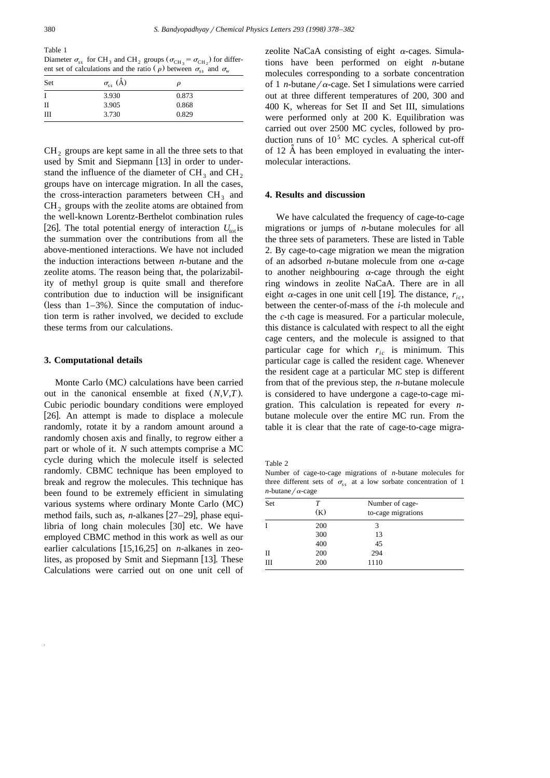Table 1 Diameter  $\sigma_{ss}$  for CH<sub>3</sub> and CH<sub>2</sub> groups ( $\sigma_{CH_3} = \sigma_{CH_2}$ ) for different set of calculations and the ratio ( $\rho$ ) between  $\sigma_{ss}$  and  $\sigma_w$ 

| Set | $\sigma_{ss}$ (A) |       |
|-----|-------------------|-------|
| I   | 3.930             | 0.873 |
| П   | 3.905             | 0.868 |
| Ш   | 3.730             | 0.829 |

 $CH<sub>2</sub>$  groups are kept same in all the three sets to that used by Smit and Siepmann [13] in order to understand the influence of the diameter of  $CH_3$  and  $CH_2$ groups have on intercage migration. In all the cases, the cross-interaction parameters between  $\text{CH}_3$  and  $CH<sub>2</sub>$  groups with the zeolite atoms are obtained from the well-known Lorentz-Berthelot combination rules [26]. The total potential energy of interaction  $U_{\text{tot}}$  is the summation over the contributions from all the above-mentioned interactions. We have not included the induction interactions between *n*-butane and the zeolite atoms. The reason being that, the polarizability of methyl group is quite small and therefore contribution due to induction will be insignificant (less than  $1-3\%$ ). Since the computation of induction term is rather involved, we decided to exclude these terms from our calculations.

#### **3. Computational details**

Monte Carlo (MC) calculations have been carried out in the canonical ensemble at fixed  $(N, V, T)$ . Cubic periodic boundary conditions were employed  $[26]$ . An attempt is made to displace a molecule randomly, rotate it by a random amount around a randomly chosen axis and finally, to regrow either a part or whole of it. *N* such attempts comprise a MC cycle during which the molecule itself is selected randomly. CBMC technique has been employed to break and regrow the molecules. This technique has been found to be extremely efficient in simulating various systems where ordinary Monte Carlo (MC) method fails, such as,  $n$ -alkanes  $[27-29]$ , phase equilibria of long chain molecules  $[30]$  etc. We have employed CBMC method in this work as well as our earlier calculations  $[15,16,25]$  on *n*-alkanes in zeolites, as proposed by Smit and Siepmann [13]. These Calculations were carried out on one unit cell of

zeolite NaCaA consisting of eight  $\alpha$ -cages. Simulations have been performed on eight *n*-butane molecules corresponding to a sorbate concentration of 1 *n*-butane/ $\alpha$ -cage. Set I simulations were carried out at three different temperatures of 200, 300 and 400 K, whereas for Set II and Set III, simulations were performed only at 200 K. Equilibration was carried out over 2500 MC cycles, followed by production runs of  $10<sup>5</sup>$  MC cycles. A spherical cut-off of 12  $\AA$  has been employed in evaluating the intermolecular interactions.

#### **4. Results and discussion**

We have calculated the frequency of cage-to-cage migrations or jumps of *n*-butane molecules for all the three sets of parameters. These are listed in Table 2. By cage-to-cage migration we mean the migration of an adsorbed *n*-butane molecule from one  $\alpha$ -cage to another neighbouring  $\alpha$ -cage through the eight ring windows in zeolite NaCaA. There are in all eight  $\alpha$ -cages in one unit cell [19]. The distance,  $r_{i\alpha}$ , between the center-of-mass of the *i*-th molecule and the *c*-th cage is measured. For a particular molecule, this distance is calculated with respect to all the eight cage centers, and the molecule is assigned to that particular cage for which  $r_{i\text{c}}$  is minimum. This particular cage is called the resident cage. Whenever the resident cage at a particular MC step is different from that of the previous step, the *n*-butane molecule is considered to have undergone a cage-to-cage migration. This calculation is repeated for every *n*butane molecule over the entire MC run. From the table it is clear that the rate of cage-to-cage migra-

Table 2

Number of cage-to-cage migrations of *n*-butane molecules for three different sets of  $\sigma_{ss}$  at a low sorbate concentration of 1  $n$ -butane /  $\alpha$ -cage

| Set | (K) | Number of cage-<br>to-cage migrations |  |
|-----|-----|---------------------------------------|--|
|     | 200 |                                       |  |
|     | 300 | 13                                    |  |
|     | 400 | 45                                    |  |
| П   | 200 | 294                                   |  |
| Ш   | 200 | 1110                                  |  |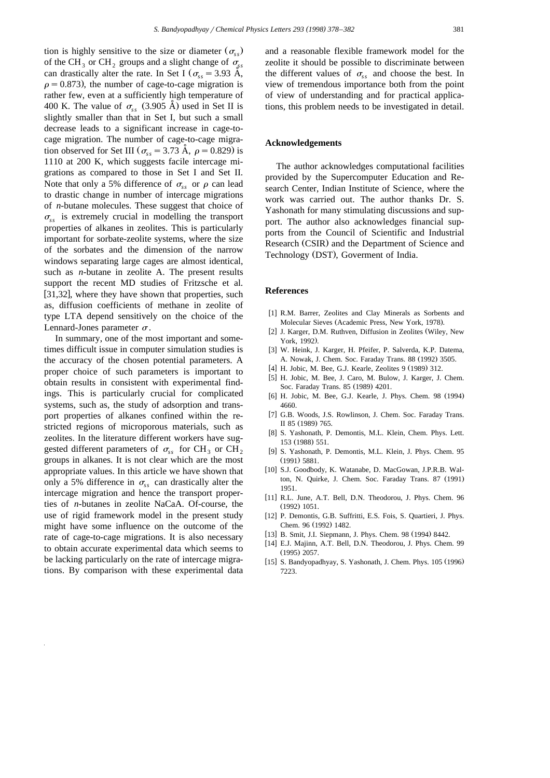tion is highly sensitive to the size or diameter  $(\sigma_{ss})$ of the CH<sub>3</sub> or CH<sub>2</sub> groups and a slight change of  $\sigma_{ss}$ can drastically alter the rate. In Set I ( $\sigma_{ss}$  = 3.93 Å,  $\rho = 0.873$ , the number of cage-to-cage migration is rather few, even at a sufficiently high temperature of 400 K. The value of  $\sigma_{ss}$  (3.905 Å) used in Set II is slightly smaller than that in Set I, but such a small decrease leads to a significant increase in cage-tocage migration. The number of cage-to-cage migration observed for Set III ( $\sigma_{ss}$  = 3.73 Å,  $\rho$  = 0.829) is 1110 at 200 K, which suggests facile intercage migrations as compared to those in Set I and Set II. Note that only a 5% difference of  $\sigma_{ss}$  or  $\rho$  can lead to drastic change in number of intercage migrations of *n*-butane molecules. These suggest that choice of  $\sigma_{ss}$  is extremely crucial in modelling the transport properties of alkanes in zeolites. This is particularly important for sorbate-zeolite systems, where the size of the sorbates and the dimension of the narrow windows separating large cages are almost identical, such as *n*-butane in zeolite A. The present results support the recent MD studies of Fritzsche et al.  $\overline{[31,32]}$ , where they have shown that properties, such as, diffusion coefficients of methane in zeolite of type LTA depend sensitively on the choice of the Lennard-Jones parameter  $\sigma$ .

In summary, one of the most important and sometimes difficult issue in computer simulation studies is the accuracy of the chosen potential parameters. A proper choice of such parameters is important to obtain results in consistent with experimental findings. This is particularly crucial for complicated systems, such as, the study of adsorption and transport properties of alkanes confined within the restricted regions of microporous materials, such as zeolites. In the literature different workers have suggested different parameters of  $\sigma_{ss}$  for CH<sub>3</sub> or CH<sub>2</sub> groups in alkanes. It is not clear which are the most appropriate values. In this article we have shown that only a 5% difference in  $\sigma_{ss}$  can drastically alter the intercage migration and hence the transport properties of *n*-butanes in zeolite NaCaA. Of-course, the use of rigid framework model in the present study might have some influence on the outcome of the rate of cage-to-cage migrations. It is also necessary to obtain accurate experimental data which seems to be lacking particularly on the rate of intercage migrations. By comparison with these experimental data

and a reasonable flexible framework model for the zeolite it should be possible to discriminate between the different values of  $\sigma_{ss}$  and choose the best. In view of tremendous importance both from the point of view of understanding and for practical applications, this problem needs to be investigated in detail.

### **Acknowledgements**

The author acknowledges computational facilities provided by the Supercomputer Education and Research Center, Indian Institute of Science, where the work was carried out. The author thanks Dr. S. Yashonath for many stimulating discussions and support. The author also acknowledges financial supports from the Council of Scientific and Industrial Research (CSIR) and the Department of Science and Technology (DST), Goverment of India.

#### **References**

- [1] R.M. Barrer, Zeolites and Clay Minerals as Sorbents and Molecular Sieves (Academic Press, New York, 1978).
- [2] J. Karger, D.M. Ruthven, Diffusion in Zeolites (Wiley, New York, 1992).
- [3] W. Heink, J. Karger, H. Pfeifer, P. Salverda, K.P. Datema, A. Nowak, J. Chem. Soc. Faraday Trans. 88 (1992) 3505.
- [4] H. Jobic, M. Bee, G.J. Kearle, Zeolites 9 (1989) 312.
- [5] H. Jobic, M. Bee, J. Caro, M. Bulow, J. Karger, J. Chem. Soc. Faraday Trans. 85 (1989) 4201.
- [6] H. Jobic, M. Bee, G.J. Kearle, J. Phys. Chem. 98 (1994) 4660.
- [7] G.B. Woods, J.S. Rowlinson, J. Chem. Soc. Faraday Trans. II 85 (1989) 765.
- [8] S. Yashonath, P. Demontis, M.L. Klein, Chem. Phys. Lett. 153 (1988) 551.
- [9] S. Yashonath, P. Demontis, M.L. Klein, J. Phys. Chem. 95  $(1991)$  5881.
- [10] S.J. Goodbody, K. Watanabe, D. MacGowan, J.P.R.B. Walton, N. Quirke, J. Chem. Soc. Faraday Trans. 87 (1991) 1951.
- [11] R.L. June, A.T. Bell, D.N. Theodorou, J. Phys. Chem. 96  $(1992)$  1051.
- [12] P. Demontis, G.B. Suffritti, E.S. Fois, S. Quartieri, J. Phys. Chem. 96 (1992) 1482.
- [13] B. Smit, J.I. Siepmann, J. Phys. Chem. 98 (1994) 8442.
- [14] E.J. Majinn, A.T. Bell, D.N. Theodorou, J. Phys. Chem. 99  $(1995)$  2057.
- [15] S. Bandyopadhyay, S. Yashonath, J. Chem. Phys. 105 (1996) 7223.